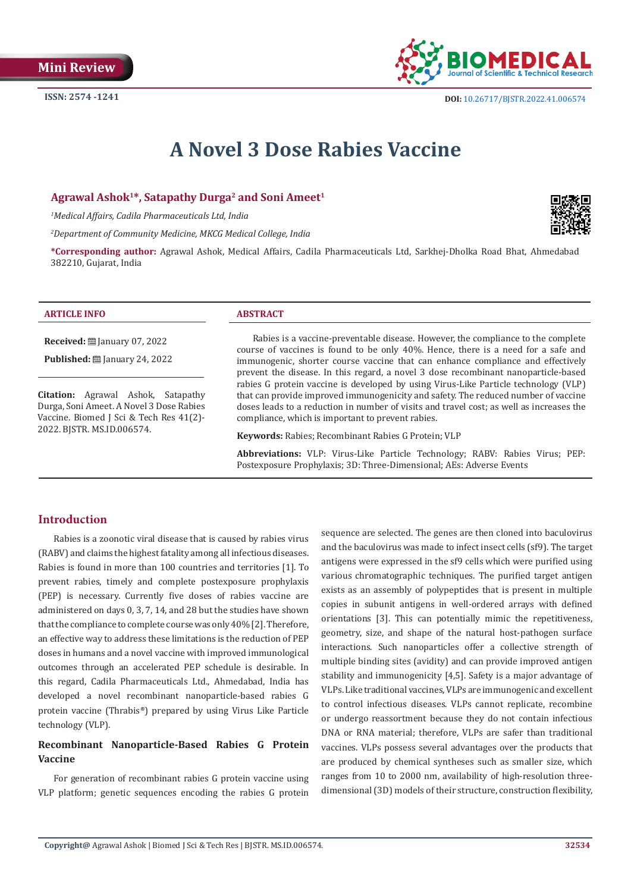

# **A Novel 3 Dose Rabies Vaccine**

### Agrawal Ashok<sup>1\*</sup>, Satapathy Durga<sup>2</sup> and Soni Ameet<sup>1</sup>

*1 Medical Affairs, Cadila Pharmaceuticals Ltd, India*

*2 Department of Community Medicine, MKCG Medical College, India*

**\*Corresponding author:** Agrawal Ashok, Medical Affairs, Cadila Pharmaceuticals Ltd, Sarkhej-Dholka Road Bhat, Ahmedabad 382210, Gujarat, India

| INFO<br><b>AK</b> | <b>TRACT</b> |
|-------------------|--------------|
|                   |              |

**Received:** January 07, 2022

**Published:** ■ January 24, 2022

**Citation:** Agrawal Ashok, Satapathy Durga, Soni Ameet. A Novel 3 Dose Rabies Vaccine. Biomed J Sci & Tech Res 41(2)- 2022. BJSTR. MS.ID.006574.

Rabies is a vaccine-preventable disease. However, the compliance to the complete course of vaccines is found to be only 40%. Hence, there is a need for a safe and immunogenic, shorter course vaccine that can enhance compliance and effectively prevent the disease. In this regard, a novel 3 dose recombinant nanoparticle-based rabies G protein vaccine is developed by using Virus-Like Particle technology (VLP) that can provide improved immunogenicity and safety. The reduced number of vaccine doses leads to a reduction in number of visits and travel cost; as well as increases the compliance, which is important to prevent rabies.

**Keywords:** Rabies; Recombinant Rabies G Protein; VLP

**Abbreviations:** VLP: Virus-Like Particle Technology; RABV: Rabies Virus; PEP: Postexposure Prophylaxis; 3D: Three-Dimensional; AEs: Adverse Events

# **Introduction**

Rabies is a zoonotic viral disease that is caused by rabies virus (RABV) and claims the highest fatality among all infectious diseases. Rabies is found in more than 100 countries and territories [1]. To prevent rabies, timely and complete postexposure prophylaxis (PEP) is necessary. Currently five doses of rabies vaccine are administered on days 0, 3, 7, 14, and 28 but the studies have shown that the compliance to complete course was only 40% [2]. Therefore, an effective way to address these limitations is the reduction of PEP doses in humans and a novel vaccine with improved immunological outcomes through an accelerated PEP schedule is desirable. In this regard, Cadila Pharmaceuticals Ltd., Ahmedabad, India has developed a novel recombinant nanoparticle-based rabies G protein vaccine (Thrabis®) prepared by using Virus Like Particle technology (VLP).

# **Recombinant Nanoparticle-Based Rabies G Protein Vaccine**

For generation of recombinant rabies G protein vaccine using VLP platform; genetic sequences encoding the rabies G protein sequence are selected. The genes are then cloned into baculovirus and the baculovirus was made to infect insect cells (sf9). The target antigens were expressed in the sf9 cells which were purified using various chromatographic techniques. The purified target antigen exists as an assembly of polypeptides that is present in multiple copies in subunit antigens in well-ordered arrays with defined orientations [3]. This can potentially mimic the repetitiveness, geometry, size, and shape of the natural host-pathogen surface interactions. Such nanoparticles offer a collective strength of multiple binding sites (avidity) and can provide improved antigen stability and immunogenicity [4,5]. Safety is a major advantage of VLPs. Like traditional vaccines, VLPs are immunogenic and excellent to control infectious diseases. VLPs cannot replicate, recombine or undergo reassortment because they do not contain infectious DNA or RNA material; therefore, VLPs are safer than traditional vaccines. VLPs possess several advantages over the products that are produced by chemical syntheses such as smaller size, which ranges from 10 to 2000 nm, availability of high-resolution threedimensional (3D) models of their structure, construction flexibility,